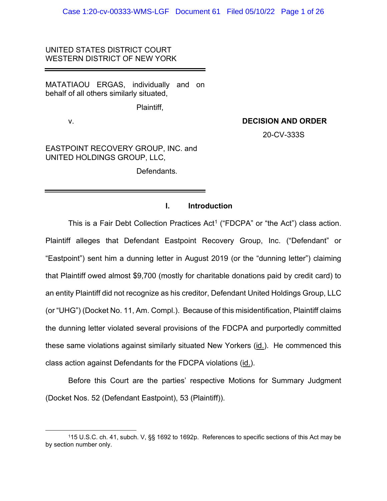# UNITED STATES DISTRICT COURT WESTERN DISTRICT OF NEW YORK

MATATIAOU ERGAS, individually and on behalf of all others similarly situated,

Plaintiff,

# v. **DECISION AND ORDER**

20-CV-333S

EASTPOINT RECOVERY GROUP, INC. and UNITED HOLDINGS GROUP, LLC,

Defendants.

# **I. Introduction**

This is a Fair Debt Collection Practices Act<sup>1</sup> ("FDCPA" or "the Act") class action. Plaintiff alleges that Defendant Eastpoint Recovery Group, Inc. ("Defendant" or "Eastpoint") sent him a dunning letter in August 2019 (or the "dunning letter") claiming that Plaintiff owed almost \$9,700 (mostly for charitable donations paid by credit card) to an entity Plaintiff did not recognize as his creditor, Defendant United Holdings Group, LLC (or "UHG") (Docket No. 11, Am. Compl.). Because of this misidentification, Plaintiff claims the dunning letter violated several provisions of the FDCPA and purportedly committed these same violations against similarly situated New Yorkers (id.). He commenced this class action against Defendants for the FDCPA violations (id.).

Before this Court are the parties' respective Motions for Summary Judgment (Docket Nos. 52 (Defendant Eastpoint), 53 (Plaintiff)).

<sup>115</sup> U.S.C. ch. 41, subch. V, §§ 1692 to 1692p. References to specific sections of this Act may be by section number only.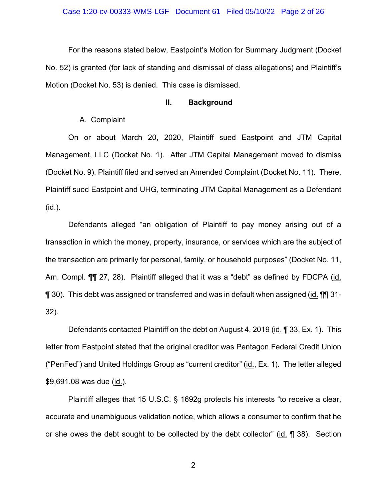For the reasons stated below, Eastpoint's Motion for Summary Judgment (Docket No. 52) is granted (for lack of standing and dismissal of class allegations) and Plaintiff's Motion (Docket No. 53) is denied. This case is dismissed.

## **II. Background**

# A. Complaint

On or about March 20, 2020, Plaintiff sued Eastpoint and JTM Capital Management, LLC (Docket No. 1). After JTM Capital Management moved to dismiss (Docket No. 9), Plaintiff filed and served an Amended Complaint (Docket No. 11). There, Plaintiff sued Eastpoint and UHG, terminating JTM Capital Management as a Defendant (id.).

Defendants alleged "an obligation of Plaintiff to pay money arising out of a transaction in which the money, property, insurance, or services which are the subject of the transaction are primarily for personal, family, or household purposes" (Docket No. 11, Am. Compl. ¶¶ 27, 28). Plaintiff alleged that it was a "debt" as defined by FDCPA (id. ¶ 30). This debt was assigned or transferred and was in default when assigned (id. ¶¶ 31- 32).

Defendants contacted Plaintiff on the debt on August 4, 2019 (id. 1 33, Ex. 1). This letter from Eastpoint stated that the original creditor was Pentagon Federal Credit Union ("PenFed") and United Holdings Group as "current creditor" (id., Ex. 1). The letter alleged \$9,691.08 was due (id.).

Plaintiff alleges that 15 U.S.C. § 1692g protects his interests "to receive a clear, accurate and unambiguous validation notice, which allows a consumer to confirm that he or she owes the debt sought to be collected by the debt collector" (id.  $\P$  38). Section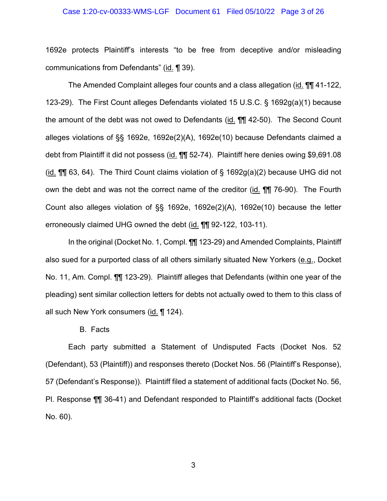#### Case 1:20-cv-00333-WMS-LGF Document 61 Filed 05/10/22 Page 3 of 26

1692e protects Plaintiff's interests "to be free from deceptive and/or misleading communications from Defendants" (id. ¶ 39).

The Amended Complaint alleges four counts and a class allegation (id. ¶¶ 41-122, 123-29). The First Count alleges Defendants violated 15 U.S.C. § 1692g(a)(1) because the amount of the debt was not owed to Defendants (id. ¶¶ 42-50). The Second Count alleges violations of §§ 1692e, 1692e(2)(A), 1692e(10) because Defendants claimed a debt from Plaintiff it did not possess (id. ¶¶ 52-74). Plaintiff here denies owing \$9,691.08 (id.  $\P$ ] 63, 64). The Third Count claims violation of § 1692g(a)(2) because UHG did not own the debt and was not the correct name of the creditor (id. ¶¶ 76-90). The Fourth Count also alleges violation of §§ 1692e, 1692e(2)(A), 1692e(10) because the letter erroneously claimed UHG owned the debt (id. ¶¶ 92-122, 103-11).

In the original (Docket No. 1, Compl. ¶¶ 123-29) and Amended Complaints, Plaintiff also sued for a purported class of all others similarly situated New Yorkers (e.g., Docket No. 11, Am. Compl. ¶¶ 123-29). Plaintiff alleges that Defendants (within one year of the pleading) sent similar collection letters for debts not actually owed to them to this class of all such New York consumers (id. ¶ 124).

B. Facts

Each party submitted a Statement of Undisputed Facts (Docket Nos. 52 (Defendant), 53 (Plaintiff)) and responses thereto (Docket Nos. 56 (Plaintiff's Response), 57 (Defendant's Response)). Plaintiff filed a statement of additional facts (Docket No. 56, Pl. Response ¶¶ 36-41) and Defendant responded to Plaintiff's additional facts (Docket No. 60).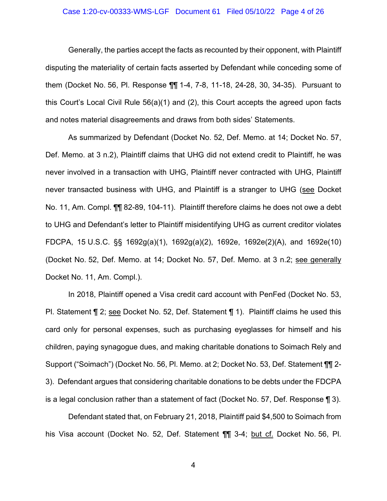#### Case 1:20-cv-00333-WMS-LGF Document 61 Filed 05/10/22 Page 4 of 26

Generally, the parties accept the facts as recounted by their opponent, with Plaintiff disputing the materiality of certain facts asserted by Defendant while conceding some of them (Docket No. 56, Pl. Response ¶¶ 1-4, 7-8, 11-18, 24-28, 30, 34-35). Pursuant to this Court's Local Civil Rule 56(a)(1) and (2), this Court accepts the agreed upon facts and notes material disagreements and draws from both sides' Statements.

As summarized by Defendant (Docket No. 52, Def. Memo. at 14; Docket No. 57, Def. Memo. at 3 n.2), Plaintiff claims that UHG did not extend credit to Plaintiff, he was never involved in a transaction with UHG, Plaintiff never contracted with UHG, Plaintiff never transacted business with UHG, and Plaintiff is a stranger to UHG (see Docket No. 11, Am. Compl. ¶¶ 82-89, 104-11). Plaintiff therefore claims he does not owe a debt to UHG and Defendant's letter to Plaintiff misidentifying UHG as current creditor violates FDCPA, 15 U.S.C. §§ 1692g(a)(1), 1692g(a)(2), 1692e, 1692e(2)(A), and 1692e(10) (Docket No. 52, Def. Memo. at 14; Docket No. 57, Def. Memo. at 3 n.2; see generally Docket No. 11, Am. Compl.).

In 2018, Plaintiff opened a Visa credit card account with PenFed (Docket No. 53, Pl. Statement ¶ 2; see Docket No. 52, Def. Statement ¶ 1). Plaintiff claims he used this card only for personal expenses, such as purchasing eyeglasses for himself and his children, paying synagogue dues, and making charitable donations to Soimach Rely and Support ("Soimach") (Docket No. 56, Pl. Memo. at 2; Docket No. 53, Def. Statement ¶¶ 2- 3). Defendant argues that considering charitable donations to be debts under the FDCPA is a legal conclusion rather than a statement of fact (Docket No. 57, Def. Response ¶ 3).

Defendant stated that, on February 21, 2018, Plaintiff paid \$4,500 to Soimach from his Visa account (Docket No. 52, Def. Statement ¶¶ 3-4; but cf. Docket No. 56, Pl.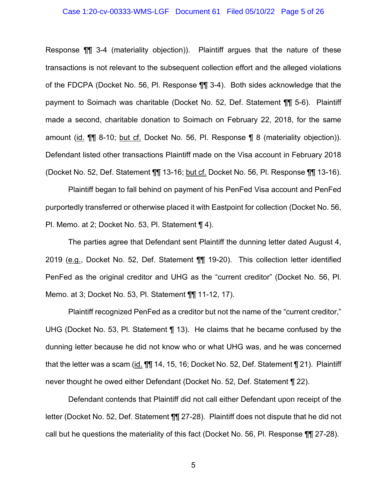#### Case 1:20-cv-00333-WMS-LGF Document 61 Filed 05/10/22 Page 5 of 26

Response ¶¶ 3-4 (materiality objection)). Plaintiff argues that the nature of these transactions is not relevant to the subsequent collection effort and the alleged violations of the FDCPA (Docket No. 56, Pl. Response ¶¶ 3-4). Both sides acknowledge that the payment to Soimach was charitable (Docket No. 52, Def. Statement ¶¶ 5-6). Plaintiff made a second, charitable donation to Soimach on February 22, 2018, for the same amount (id. ¶¶ 8-10; but cf. Docket No. 56, Pl. Response ¶ 8 (materiality objection)). Defendant listed other transactions Plaintiff made on the Visa account in February 2018 (Docket No. 52, Def. Statement ¶¶ 13-16; but cf. Docket No. 56, Pl. Response ¶¶ 13-16).

Plaintiff began to fall behind on payment of his PenFed Visa account and PenFed purportedly transferred or otherwise placed it with Eastpoint for collection (Docket No. 56, Pl. Memo. at 2; Docket No. 53, Pl. Statement ¶ 4).

The parties agree that Defendant sent Plaintiff the dunning letter dated August 4, 2019 (e.g., Docket No. 52, Def. Statement ¶¶ 19-20). This collection letter identified PenFed as the original creditor and UHG as the "current creditor" (Docket No. 56, Pl. Memo. at 3; Docket No. 53, Pl. Statement ¶¶ 11-12, 17).

Plaintiff recognized PenFed as a creditor but not the name of the "current creditor," UHG (Docket No. 53, Pl. Statement ¶ 13). He claims that he became confused by the dunning letter because he did not know who or what UHG was, and he was concerned that the letter was a scam (id. 11 14, 15, 16; Docket No. 52, Def. Statement 121). Plaintiff never thought he owed either Defendant (Docket No. 52, Def. Statement ¶ 22).

Defendant contends that Plaintiff did not call either Defendant upon receipt of the letter (Docket No. 52, Def. Statement ¶¶ 27-28). Plaintiff does not dispute that he did not call but he questions the materiality of this fact (Docket No. 56, Pl. Response ¶¶ 27-28).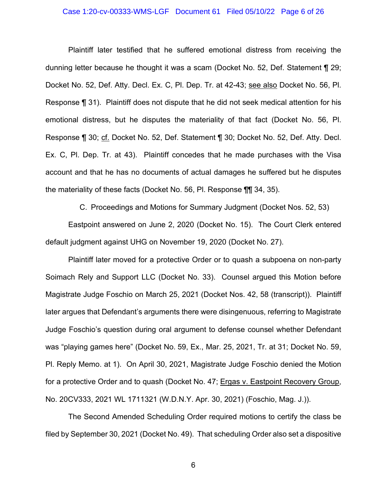#### Case 1:20-cv-00333-WMS-LGF Document 61 Filed 05/10/22 Page 6 of 26

Plaintiff later testified that he suffered emotional distress from receiving the dunning letter because he thought it was a scam (Docket No. 52, Def. Statement ¶ 29; Docket No. 52, Def. Atty. Decl. Ex. C, Pl. Dep. Tr. at 42-43; see also Docket No. 56, Pl. Response ¶ 31). Plaintiff does not dispute that he did not seek medical attention for his emotional distress, but he disputes the materiality of that fact (Docket No. 56, Pl. Response ¶ 30; cf. Docket No. 52, Def. Statement ¶ 30; Docket No. 52, Def. Atty. Decl. Ex. C, Pl. Dep. Tr. at 43). Plaintiff concedes that he made purchases with the Visa account and that he has no documents of actual damages he suffered but he disputes the materiality of these facts (Docket No. 56, Pl. Response ¶¶ 34, 35).

C. Proceedings and Motions for Summary Judgment (Docket Nos. 52, 53)

Eastpoint answered on June 2, 2020 (Docket No. 15). The Court Clerk entered default judgment against UHG on November 19, 2020 (Docket No. 27).

Plaintiff later moved for a protective Order or to quash a subpoena on non-party Soimach Rely and Support LLC (Docket No. 33). Counsel argued this Motion before Magistrate Judge Foschio on March 25, 2021 (Docket Nos. 42, 58 (transcript)). Plaintiff later argues that Defendant's arguments there were disingenuous, referring to Magistrate Judge Foschio's question during oral argument to defense counsel whether Defendant was "playing games here" (Docket No. 59, Ex., Mar. 25, 2021, Tr. at 31; Docket No. 59, Pl. Reply Memo. at 1). On April 30, 2021, Magistrate Judge Foschio denied the Motion for a protective Order and to quash (Docket No. 47; Ergas v. Eastpoint Recovery Group, No. 20CV333, 2021 WL 1711321 (W.D.N.Y. Apr. 30, 2021) (Foschio, Mag. J.)).

The Second Amended Scheduling Order required motions to certify the class be filed by September 30, 2021 (Docket No. 49). That scheduling Order also set a dispositive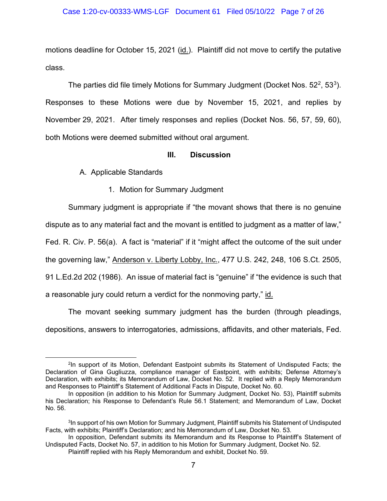#### Case 1:20-cv-00333-WMS-LGF Document 61 Filed 05/10/22 Page 7 of 26

motions deadline for October 15, 2021 (id.). Plaintiff did not move to certify the putative class.

The parties did file timely Motions for Summary Judgment (Docket Nos. 52<sup>2</sup>, 53<sup>3</sup>). Responses to these Motions were due by November 15, 2021, and replies by November 29, 2021. After timely responses and replies (Docket Nos. 56, 57, 59, 60), both Motions were deemed submitted without oral argument.

# **III. Discussion**

A. Applicable Standards

1. Motion for Summary Judgment

Summary judgment is appropriate if "the movant shows that there is no genuine dispute as to any material fact and the movant is entitled to judgment as a matter of law," Fed. R. Civ. P. 56(a). A fact is "material" if it "might affect the outcome of the suit under the governing law," Anderson v. Liberty Lobby, Inc., 477 U.S. 242, 248, 106 S.Ct. 2505, 91 L.Ed.2d 202 (1986). An issue of material fact is "genuine" if "the evidence is such that a reasonable jury could return a verdict for the nonmoving party," id.

The movant seeking summary judgment has the burden (through pleadings, depositions, answers to interrogatories, admissions, affidavits, and other materials, Fed.

<sup>2</sup>In support of its Motion, Defendant Eastpoint submits its Statement of Undisputed Facts; the Declaration of Gina Gugliuzza, compliance manager of Eastpoint, with exhibits; Defense Attorney's Declaration, with exhibits; its Memorandum of Law, Docket No. 52. It replied with a Reply Memorandum and Responses to Plaintiff's Statement of Additional Facts in Dispute, Docket No. 60.

In opposition (in addition to his Motion for Summary Judgment, Docket No. 53), Plaintiff submits his Declaration; his Response to Defendant's Rule 56.1 Statement; and Memorandum of Law, Docket No. 56.

<sup>&</sup>lt;sup>3</sup>In support of his own Motion for Summary Judgment, Plaintiff submits his Statement of Undisputed Facts, with exhibits; Plaintiff's Declaration; and his Memorandum of Law, Docket No. 53.

In opposition, Defendant submits its Memorandum and its Response to Plaintiff's Statement of Undisputed Facts, Docket No. 57, in addition to his Motion for Summary Judgment, Docket No. 52.

Plaintiff replied with his Reply Memorandum and exhibit, Docket No. 59.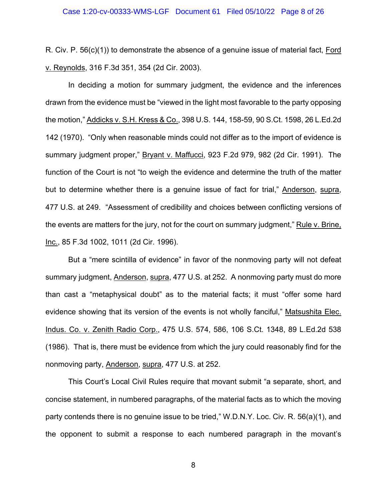R. Civ. P. 56(c)(1)) to demonstrate the absence of a genuine issue of material fact, Ford v. Reynolds, 316 F.3d 351, 354 (2d Cir. 2003).

In deciding a motion for summary judgment, the evidence and the inferences drawn from the evidence must be "viewed in the light most favorable to the party opposing the motion," Addicks v. S.H. Kress & Co., 398 U.S. 144, 158-59, 90 S.Ct. 1598, 26 L.Ed.2d 142 (1970). "Only when reasonable minds could not differ as to the import of evidence is summary judgment proper," Bryant v. Maffucci, 923 F.2d 979, 982 (2d Cir. 1991). The function of the Court is not "to weigh the evidence and determine the truth of the matter but to determine whether there is a genuine issue of fact for trial," Anderson, supra, 477 U.S. at 249. "Assessment of credibility and choices between conflicting versions of the events are matters for the jury, not for the court on summary judgment," Rule v. Brine, Inc., 85 F.3d 1002, 1011 (2d Cir. 1996).

But a "mere scintilla of evidence" in favor of the nonmoving party will not defeat summary judgment, Anderson, supra, 477 U.S. at 252. A nonmoving party must do more than cast a "metaphysical doubt" as to the material facts; it must "offer some hard evidence showing that its version of the events is not wholly fanciful," Matsushita Elec. Indus. Co. v. Zenith Radio Corp., 475 U.S. 574, 586, 106 S.Ct. 1348, 89 L.Ed.2d 538 (1986). That is, there must be evidence from which the jury could reasonably find for the nonmoving party, Anderson, supra, 477 U.S. at 252.

This Court's Local Civil Rules require that movant submit "a separate, short, and concise statement, in numbered paragraphs, of the material facts as to which the moving party contends there is no genuine issue to be tried," W.D.N.Y. Loc. Civ. R. 56(a)(1), and the opponent to submit a response to each numbered paragraph in the movant's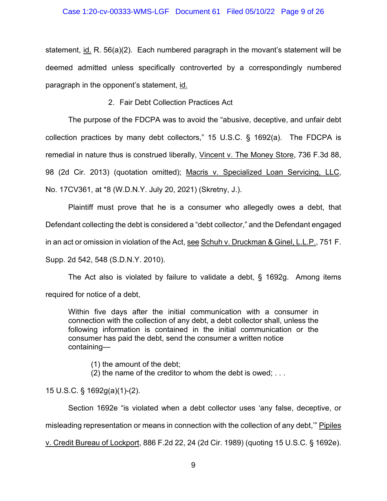statement,  $id$ . R. 56(a)(2). Each numbered paragraph in the movant's statement will be deemed admitted unless specifically controverted by a correspondingly numbered paragraph in the opponent's statement, id.

2. Fair Debt Collection Practices Act

The purpose of the FDCPA was to avoid the "abusive, deceptive, and unfair debt collection practices by many debt collectors," 15 U.S.C. § 1692(a). The FDCPA is remedial in nature thus is construed liberally, Vincent v. The Money Store, 736 F.3d 88, 98 (2d Cir. 2013) (quotation omitted); Macris v. Specialized Loan Servicing, LLC, No. 17CV361, at \*8 (W.D.N.Y. July 20, 2021) (Skretny, J.).

Plaintiff must prove that he is a consumer who allegedly owes a debt, that Defendant collecting the debt is considered a "debt collector," and the Defendant engaged in an act or omission in violation of the Act, see Schuh v. Druckman & Ginel, L.L.P., 751 F. Supp. 2d 542, 548 (S.D.N.Y. 2010).

The Act also is violated by failure to validate a debt, § 1692g. Among items required for notice of a debt,

Within five days after the initial communication with a consumer in connection with the collection of any debt, a debt collector shall, unless the following information is contained in the initial communication or the consumer has paid the debt, send the consumer a written notice containing—

(1) the amount of the debt;

(2) the name of the creditor to whom the debt is owed; . . .

15 U.S.C. § 1692g(a)(1)-(2).

Section 1692e "is violated when a debt collector uses 'any false, deceptive, or misleading representation or means in connection with the collection of any debt,'" Pipiles

v. Credit Bureau of Lockport, 886 F.2d 22, 24 (2d Cir. 1989) (quoting 15 U.S.C. § 1692e).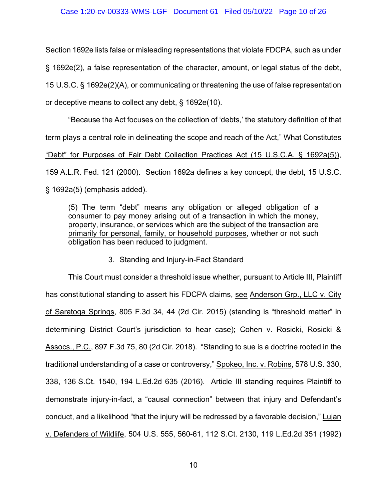Section 1692e lists false or misleading representations that violate FDCPA, such as under § 1692e(2), a false representation of the character, amount, or legal status of the debt, 15 U.S.C. § 1692e(2)(A), or communicating or threatening the use of false representation or deceptive means to collect any debt, § 1692e(10).

"Because the Act focuses on the collection of 'debts,' the statutory definition of that term plays a central role in delineating the scope and reach of the Act," What Constitutes "Debt" for Purposes of Fair Debt Collection Practices Act (15 U.S.C.A. § 1692a(5)), 159 A.L.R. Fed. 121 (2000). Section 1692a defines a key concept, the debt, 15 U.S.C. § 1692a(5) (emphasis added).

(5) The term "debt" means any obligation or alleged obligation of a consumer to pay money arising out of a transaction in which the money, property, insurance, or services which are the subject of the transaction are primarily for personal, family, or household purposes, whether or not such obligation has been reduced to judgment.

3. Standing and Injury-in-Fact Standard

This Court must consider a threshold issue whether, pursuant to Article III, Plaintiff has constitutional standing to assert his FDCPA claims, see Anderson Grp., LLC v. City of Saratoga Springs, 805 F.3d 34, 44 (2d Cir. 2015) (standing is "threshold matter" in determining District Court's jurisdiction to hear case); Cohen v. Rosicki, Rosicki & Assocs., P.C., 897 F.3d 75, 80 (2d Cir. 2018). "Standing to sue is a doctrine rooted in the traditional understanding of a case or controversy," Spokeo, Inc. v. Robins, 578 U.S. 330, 338, 136 S.Ct. 1540, 194 L.Ed.2d 635 (2016). Article III standing requires Plaintiff to demonstrate injury-in-fact, a "causal connection" between that injury and Defendant's conduct, and a likelihood "that the injury will be redressed by a favorable decision," Lujan v. Defenders of Wildlife, 504 U.S. 555, 560-61, 112 S.Ct. 2130, 119 L.Ed.2d 351 (1992)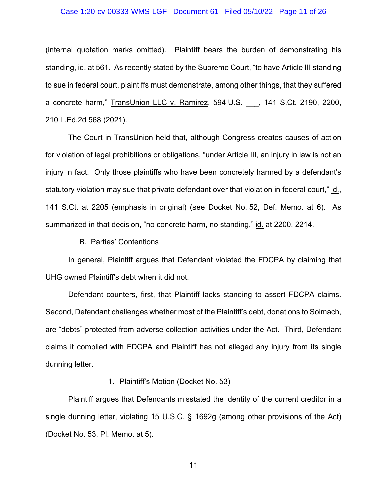#### Case 1:20-cv-00333-WMS-LGF Document 61 Filed 05/10/22 Page 11 of 26

(internal quotation marks omitted). Plaintiff bears the burden of demonstrating his standing, id. at 561. As recently stated by the Supreme Court, "to have Article III standing to sue in federal court, plaintiffs must demonstrate, among other things, that they suffered a concrete harm," TransUnion LLC v. Ramirez, 594 U.S. \_\_\_, 141 S.Ct. 2190, 2200, 210 L.Ed.2d 568 (2021).

The Court in TransUnion held that, although Congress creates causes of action for violation of legal prohibitions or obligations, "under Article III, an injury in law is not an injury in fact. Only those plaintiffs who have been concretely harmed by a defendant's statutory violation may sue that private defendant over that violation in federal court," id., 141 S.Ct. at 2205 (emphasis in original) (see Docket No. 52, Def. Memo. at 6). As summarized in that decision, "no concrete harm, no standing," id. at 2200, 2214.

B. Parties' Contentions

In general, Plaintiff argues that Defendant violated the FDCPA by claiming that UHG owned Plaintiff's debt when it did not.

Defendant counters, first, that Plaintiff lacks standing to assert FDCPA claims. Second, Defendant challenges whether most of the Plaintiff's debt, donations to Soimach, are "debts" protected from adverse collection activities under the Act. Third, Defendant claims it complied with FDCPA and Plaintiff has not alleged any injury from its single dunning letter.

1. Plaintiff's Motion (Docket No. 53)

Plaintiff argues that Defendants misstated the identity of the current creditor in a single dunning letter, violating 15 U.S.C. § 1692g (among other provisions of the Act) (Docket No. 53, Pl. Memo. at 5).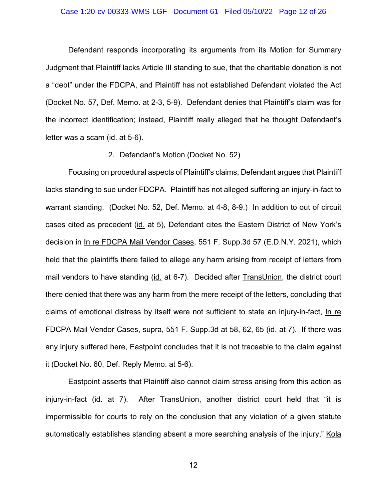#### Case 1:20-cv-00333-WMS-LGF Document 61 Filed 05/10/22 Page 12 of 26

Defendant responds incorporating its arguments from its Motion for Summary Judgment that Plaintiff lacks Article III standing to sue, that the charitable donation is not a "debt" under the FDCPA, and Plaintiff has not established Defendant violated the Act (Docket No. 57, Def. Memo. at 2-3, 5-9). Defendant denies that Plaintiff's claim was for the incorrect identification; instead, Plaintiff really alleged that he thought Defendant's letter was a scam (id. at 5-6).

#### 2. Defendant's Motion (Docket No. 52)

Focusing on procedural aspects of Plaintiff's claims, Defendant argues that Plaintiff lacks standing to sue under FDCPA. Plaintiff has not alleged suffering an injury-in-fact to warrant standing. (Docket No. 52, Def. Memo. at 4-8, 8-9.) In addition to out of circuit cases cited as precedent (id. at 5), Defendant cites the Eastern District of New York's decision in In re FDCPA Mail Vendor Cases, 551 F. Supp.3d 57 (E.D.N.Y. 2021), which held that the plaintiffs there failed to allege any harm arising from receipt of letters from mail vendors to have standing (id. at 6-7). Decided after TransUnion, the district court there denied that there was any harm from the mere receipt of the letters, concluding that claims of emotional distress by itself were not sufficient to state an injury-in-fact, In re FDCPA Mail Vendor Cases, supra, 551 F. Supp.3d at 58, 62, 65 (id. at 7). If there was any injury suffered here, Eastpoint concludes that it is not traceable to the claim against it (Docket No. 60, Def. Reply Memo. at 5-6).

Eastpoint asserts that Plaintiff also cannot claim stress arising from this action as injury-in-fact (id. at 7). After TransUnion, another district court held that "it is impermissible for courts to rely on the conclusion that any violation of a given statute automatically establishes standing absent a more searching analysis of the injury," Kola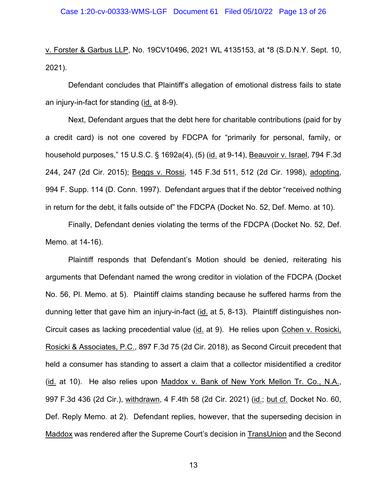v. Forster & Garbus LLP, No. 19CV10496, 2021 WL 4135153, at \*8 (S.D.N.Y. Sept. 10, 2021).

Defendant concludes that Plaintiff's allegation of emotional distress fails to state an injury-in-fact for standing (id. at 8-9).

Next, Defendant argues that the debt here for charitable contributions (paid for by a credit card) is not one covered by FDCPA for "primarily for personal, family, or household purposes," 15 U.S.C. § 1692a(4), (5) (id. at 9-14), Beauvoir v. Israel, 794 F.3d 244, 247 (2d Cir. 2015); Beggs v. Rossi, 145 F.3d 511, 512 (2d Cir. 1998), adopting, 994 F. Supp. 114 (D. Conn. 1997). Defendant argues that if the debtor "received nothing in return for the debt, it falls outside of" the FDCPA (Docket No. 52, Def. Memo. at 10).

Finally, Defendant denies violating the terms of the FDCPA (Docket No. 52, Def. Memo. at 14-16).

Plaintiff responds that Defendant's Motion should be denied, reiterating his arguments that Defendant named the wrong creditor in violation of the FDCPA (Docket No. 56, Pl. Memo. at 5). Plaintiff claims standing because he suffered harms from the dunning letter that gave him an injury-in-fact (id. at 5, 8-13). Plaintiff distinguishes non-Circuit cases as lacking precedential value (id. at 9). He relies upon Cohen v. Rosicki, Rosicki & Associates, P.C., 897 F.3d 75 (2d Cir. 2018), as Second Circuit precedent that held a consumer has standing to assert a claim that a collector misidentified a creditor (id. at 10). He also relies upon Maddox v. Bank of New York Mellon Tr. Co., N.A., 997 F.3d 436 (2d Cir.), withdrawn, 4 F.4th 58 (2d Cir. 2021) (id.; but cf. Docket No. 60, Def. Reply Memo. at 2). Defendant replies, however, that the superseding decision in Maddox was rendered after the Supreme Court's decision in TransUnion and the Second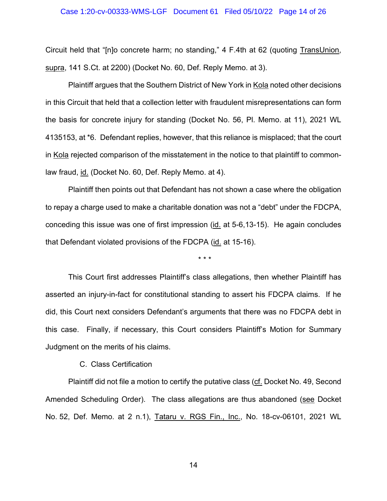#### Case 1:20-cv-00333-WMS-LGF Document 61 Filed 05/10/22 Page 14 of 26

Circuit held that "[n]o concrete harm; no standing," 4 F.4th at 62 (quoting TransUnion, supra, 141 S.Ct. at 2200) (Docket No. 60, Def. Reply Memo. at 3).

Plaintiff argues that the Southern District of New York in Kola noted other decisions in this Circuit that held that a collection letter with fraudulent misrepresentations can form the basis for concrete injury for standing (Docket No. 56, Pl. Memo. at 11), 2021 WL 4135153, at \*6. Defendant replies, however, that this reliance is misplaced; that the court in Kola rejected comparison of the misstatement in the notice to that plaintiff to commonlaw fraud, id. (Docket No. 60, Def. Reply Memo. at 4).

Plaintiff then points out that Defendant has not shown a case where the obligation to repay a charge used to make a charitable donation was not a "debt" under the FDCPA, conceding this issue was one of first impression (id. at 5-6,13-15). He again concludes that Defendant violated provisions of the FDCPA (id. at 15-16).

\* \* \*

This Court first addresses Plaintiff's class allegations, then whether Plaintiff has asserted an injury-in-fact for constitutional standing to assert his FDCPA claims. If he did, this Court next considers Defendant's arguments that there was no FDCPA debt in this case. Finally, if necessary, this Court considers Plaintiff's Motion for Summary Judgment on the merits of his claims.

#### C. Class Certification

Plaintiff did not file a motion to certify the putative class (cf. Docket No. 49, Second Amended Scheduling Order). The class allegations are thus abandoned (see Docket No. 52, Def. Memo. at 2 n.1), Tataru v. RGS Fin., Inc., No. 18-cv-06101, 2021 WL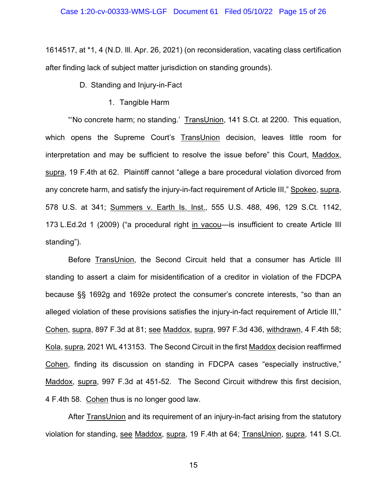1614517, at \*1, 4 (N.D. Ill. Apr. 26, 2021) (on reconsideration, vacating class certification after finding lack of subject matter jurisdiction on standing grounds).

D. Standing and Injury-in-Fact

1. Tangible Harm

"'No concrete harm; no standing.' TransUnion, 141 S.Ct. at 2200. This equation, which opens the Supreme Court's TransUnion decision, leaves little room for interpretation and may be sufficient to resolve the issue before" this Court, Maddox, supra, 19 F.4th at 62. Plaintiff cannot "allege a bare procedural violation divorced from any concrete harm, and satisfy the injury-in-fact requirement of Article III," Spokeo, supra, 578 U.S. at 341; Summers v. Earth Is. Inst., 555 U.S. 488, 496, 129 S.Ct. 1142, 173 L.Ed.2d 1 (2009) ("a procedural right in vacou—is insufficient to create Article III standing").

Before TransUnion, the Second Circuit held that a consumer has Article III standing to assert a claim for misidentification of a creditor in violation of the FDCPA because §§ 1692g and 1692e protect the consumer's concrete interests, "so than an alleged violation of these provisions satisfies the injury-in-fact requirement of Article III," Cohen, supra, 897 F.3d at 81; see Maddox, supra, 997 F.3d 436, withdrawn, 4 F.4th 58; Kola, supra, 2021 WL 413153. The Second Circuit in the first Maddox decision reaffirmed Cohen, finding its discussion on standing in FDCPA cases "especially instructive," Maddox, supra, 997 F.3d at 451-52. The Second Circuit withdrew this first decision, 4 F.4th 58. Cohen thus is no longer good law.

After TransUnion and its requirement of an injury-in-fact arising from the statutory violation for standing, see Maddox, supra, 19 F.4th at 64; TransUnion, supra, 141 S.Ct.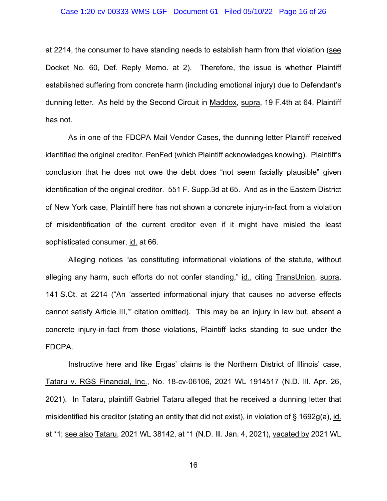at 2214, the consumer to have standing needs to establish harm from that violation (see Docket No. 60, Def. Reply Memo. at 2). Therefore, the issue is whether Plaintiff established suffering from concrete harm (including emotional injury) due to Defendant's dunning letter. As held by the Second Circuit in Maddox, supra, 19 F.4th at 64, Plaintiff has not.

As in one of the FDCPA Mail Vendor Cases, the dunning letter Plaintiff received identified the original creditor, PenFed (which Plaintiff acknowledges knowing). Plaintiff's conclusion that he does not owe the debt does "not seem facially plausible" given identification of the original creditor. 551 F. Supp.3d at 65. And as in the Eastern District of New York case, Plaintiff here has not shown a concrete injury-in-fact from a violation of misidentification of the current creditor even if it might have misled the least sophisticated consumer, id. at 66.

Alleging notices "as constituting informational violations of the statute, without alleging any harm, such efforts do not confer standing," id., citing TransUnion, supra, 141 S.Ct. at 2214 ("An 'asserted informational injury that causes no adverse effects cannot satisfy Article III,'" citation omitted). This may be an injury in law but, absent a concrete injury-in-fact from those violations, Plaintiff lacks standing to sue under the FDCPA.

Instructive here and like Ergas' claims is the Northern District of Illinois' case, Tataru v. RGS Financial, Inc., No. 18-cv-06106, 2021 WL 1914517 (N.D. Ill. Apr. 26, 2021). In Tataru, plaintiff Gabriel Tataru alleged that he received a dunning letter that misidentified his creditor (stating an entity that did not exist), in violation of § 1692g(a), id. at \*1; see also Tataru, 2021 WL 38142, at \*1 (N.D. Ill. Jan. 4, 2021), vacated by 2021 WL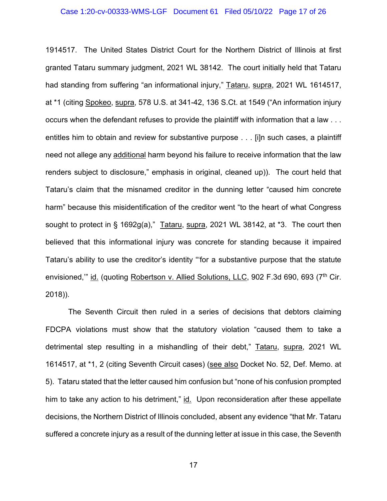#### Case 1:20-cv-00333-WMS-LGF Document 61 Filed 05/10/22 Page 17 of 26

1914517. The United States District Court for the Northern District of Illinois at first granted Tataru summary judgment, 2021 WL 38142. The court initially held that Tataru had standing from suffering "an informational injury," Tataru, supra, 2021 WL 1614517, at \*1 (citing Spokeo, supra, 578 U.S. at 341-42, 136 S.Ct. at 1549 ("An information injury occurs when the defendant refuses to provide the plaintiff with information that a law . . . entitles him to obtain and review for substantive purpose . . . [i]n such cases, a plaintiff need not allege any additional harm beyond his failure to receive information that the law renders subject to disclosure," emphasis in original, cleaned up)). The court held that Tataru's claim that the misnamed creditor in the dunning letter "caused him concrete harm" because this misidentification of the creditor went "to the heart of what Congress sought to protect in § 1692g(a)," Tataru, supra, 2021 WL 38142, at \*3. The court then believed that this informational injury was concrete for standing because it impaired Tataru's ability to use the creditor's identity "'for a substantive purpose that the statute envisioned," id. (quoting Robertson v. Allied Solutions, LLC, 902 F.3d 690, 693 (7<sup>th</sup> Cir. 2018)).

The Seventh Circuit then ruled in a series of decisions that debtors claiming FDCPA violations must show that the statutory violation "caused them to take a detrimental step resulting in a mishandling of their debt," Tataru, supra, 2021 WL 1614517, at \*1, 2 (citing Seventh Circuit cases) (see also Docket No. 52, Def. Memo. at 5). Tataru stated that the letter caused him confusion but "none of his confusion prompted him to take any action to his detriment," id. Upon reconsideration after these appellate decisions, the Northern District of Illinois concluded, absent any evidence "that Mr. Tataru suffered a concrete injury as a result of the dunning letter at issue in this case, the Seventh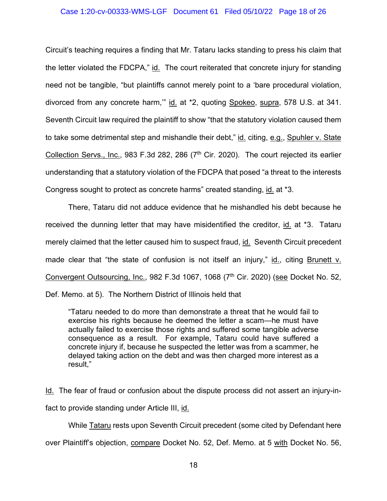## Case 1:20-cv-00333-WMS-LGF Document 61 Filed 05/10/22 Page 18 of 26

Circuit's teaching requires a finding that Mr. Tataru lacks standing to press his claim that the letter violated the FDCPA," id. The court reiterated that concrete injury for standing need not be tangible, "but plaintiffs cannot merely point to a 'bare procedural violation, divorced from any concrete harm,'" id. at \*2, quoting Spokeo, supra, 578 U.S. at 341. Seventh Circuit law required the plaintiff to show "that the statutory violation caused them to take some detrimental step and mishandle their debt," id. citing, e.g., Spuhler v. State Collection Servs., Inc., 983 F.3d 282, 286  $(7<sup>th</sup>$  Cir. 2020). The court rejected its earlier understanding that a statutory violation of the FDCPA that posed "a threat to the interests Congress sought to protect as concrete harms" created standing, id. at \*3.

There, Tataru did not adduce evidence that he mishandled his debt because he received the dunning letter that may have misidentified the creditor, id. at \*3. Tataru merely claimed that the letter caused him to suspect fraud, id. Seventh Circuit precedent made clear that "the state of confusion is not itself an injury," id., citing Brunett v. Convergent Outsourcing, Inc., 982 F.3d 1067, 1068 (7<sup>th</sup> Cir. 2020) (see Docket No. 52, Def. Memo. at 5). The Northern District of Illinois held that

"Tataru needed to do more than demonstrate a threat that he would fail to exercise his rights because he deemed the letter a scam—he must have actually failed to exercise those rights and suffered some tangible adverse consequence as a result. For example, Tataru could have suffered a concrete injury if, because he suspected the letter was from a scammer, he delayed taking action on the debt and was then charged more interest as a result,"

Id. The fear of fraud or confusion about the dispute process did not assert an injury-infact to provide standing under Article III, id.

While Tataru rests upon Seventh Circuit precedent (some cited by Defendant here

over Plaintiff's objection, compare Docket No. 52, Def. Memo. at 5 with Docket No. 56,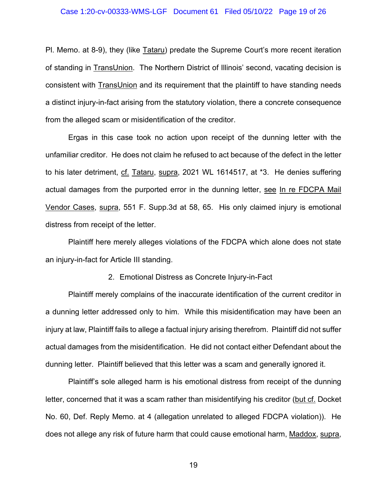Pl. Memo. at 8-9), they (like Tataru) predate the Supreme Court's more recent iteration of standing in TransUnion. The Northern District of Illinois' second, vacating decision is consistent with TransUnion and its requirement that the plaintiff to have standing needs a distinct injury-in-fact arising from the statutory violation, there a concrete consequence from the alleged scam or misidentification of the creditor.

Ergas in this case took no action upon receipt of the dunning letter with the unfamiliar creditor. He does not claim he refused to act because of the defect in the letter to his later detriment, cf. Tataru, supra, 2021 WL 1614517, at \*3. He denies suffering actual damages from the purported error in the dunning letter, see In re FDCPA Mail Vendor Cases, supra, 551 F. Supp.3d at 58, 65. His only claimed injury is emotional distress from receipt of the letter.

Plaintiff here merely alleges violations of the FDCPA which alone does not state an injury-in-fact for Article III standing.

#### 2. Emotional Distress as Concrete Injury-in-Fact

Plaintiff merely complains of the inaccurate identification of the current creditor in a dunning letter addressed only to him. While this misidentification may have been an injury at law, Plaintiff fails to allege a factual injury arising therefrom. Plaintiff did not suffer actual damages from the misidentification. He did not contact either Defendant about the dunning letter. Plaintiff believed that this letter was a scam and generally ignored it.

Plaintiff's sole alleged harm is his emotional distress from receipt of the dunning letter, concerned that it was a scam rather than misidentifying his creditor (but cf. Docket No. 60, Def. Reply Memo. at 4 (allegation unrelated to alleged FDCPA violation)). He does not allege any risk of future harm that could cause emotional harm, Maddox, supra,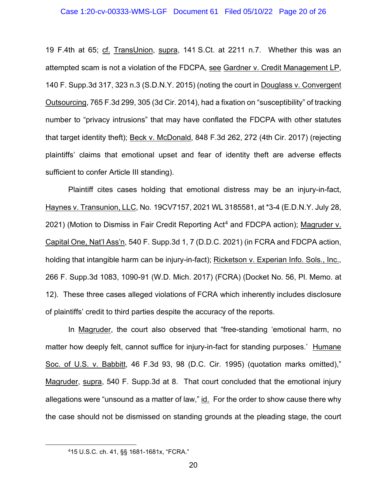19 F.4th at 65; cf. TransUnion, supra, 141 S.Ct. at 2211 n.7. Whether this was an attempted scam is not a violation of the FDCPA, see Gardner v. Credit Management LP, 140 F. Supp.3d 317, 323 n.3 (S.D.N.Y. 2015) (noting the court in Douglass v. Convergent Outsourcing, 765 F.3d 299, 305 (3d Cir. 2014), had a fixation on "susceptibility" of tracking number to "privacy intrusions" that may have conflated the FDCPA with other statutes that target identity theft); Beck v. McDonald, 848 F.3d 262, 272 (4th Cir. 2017) (rejecting plaintiffs' claims that emotional upset and fear of identity theft are adverse effects sufficient to confer Article III standing).

Plaintiff cites cases holding that emotional distress may be an injury-in-fact, Haynes v. Transunion, LLC, No. 19CV7157, 2021 WL 3185581, at \*3-4 (E.D.N.Y. July 28, 2021) (Motion to Dismiss in Fair Credit Reporting Act<sup>4</sup> and FDCPA action); Magruder v. Capital One, Nat'l Ass'n, 540 F. Supp.3d 1, 7 (D.D.C. 2021) (in FCRA and FDCPA action, holding that intangible harm can be injury-in-fact); Ricketson v. Experian Info. Sols., Inc., 266 F. Supp.3d 1083, 1090-91 (W.D. Mich. 2017) (FCRA) (Docket No. 56, Pl. Memo. at 12). These three cases alleged violations of FCRA which inherently includes disclosure of plaintiffs' credit to third parties despite the accuracy of the reports.

In Magruder, the court also observed that "free-standing 'emotional harm, no matter how deeply felt, cannot suffice for injury-in-fact for standing purposes.' Humane Soc. of U.S. v. Babbitt, 46 F.3d 93, 98 (D.C. Cir. 1995) (quotation marks omitted)," Magruder, supra, 540 F. Supp.3d at 8. That court concluded that the emotional injury allegations were "unsound as a matter of law," id. For the order to show cause there why the case should not be dismissed on standing grounds at the pleading stage, the court

<sup>415</sup> U.S.C. ch. 41, §§ 1681-1681x, "FCRA."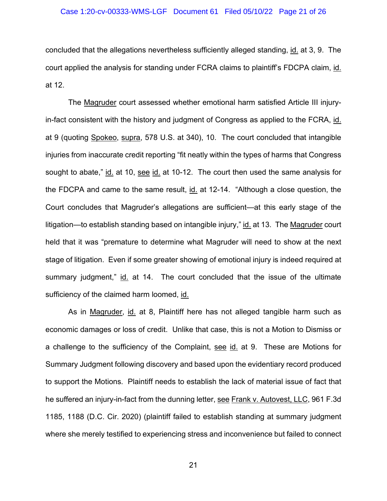concluded that the allegations nevertheless sufficiently alleged standing, id. at 3, 9. The court applied the analysis for standing under FCRA claims to plaintiff's FDCPA claim, id. at 12.

The Magruder court assessed whether emotional harm satisfied Article III injuryin-fact consistent with the history and judgment of Congress as applied to the FCRA, id. at 9 (quoting Spokeo, supra, 578 U.S. at 340), 10. The court concluded that intangible injuries from inaccurate credit reporting "fit neatly within the types of harms that Congress sought to abate," id. at 10, see id. at 10-12. The court then used the same analysis for the FDCPA and came to the same result, id. at 12-14. "Although a close question, the Court concludes that Magruder's allegations are sufficient—at this early stage of the litigation—to establish standing based on intangible injury," id. at 13. The Magruder court held that it was "premature to determine what Magruder will need to show at the next stage of litigation. Even if some greater showing of emotional injury is indeed required at summary judgment," id. at 14. The court concluded that the issue of the ultimate sufficiency of the claimed harm loomed, id.

As in Magruder, id. at 8, Plaintiff here has not alleged tangible harm such as economic damages or loss of credit. Unlike that case, this is not a Motion to Dismiss or a challenge to the sufficiency of the Complaint, see id. at 9. These are Motions for Summary Judgment following discovery and based upon the evidentiary record produced to support the Motions. Plaintiff needs to establish the lack of material issue of fact that he suffered an injury-in-fact from the dunning letter, see Frank v. Autovest, LLC, 961 F.3d 1185, 1188 (D.C. Cir. 2020) (plaintiff failed to establish standing at summary judgment where she merely testified to experiencing stress and inconvenience but failed to connect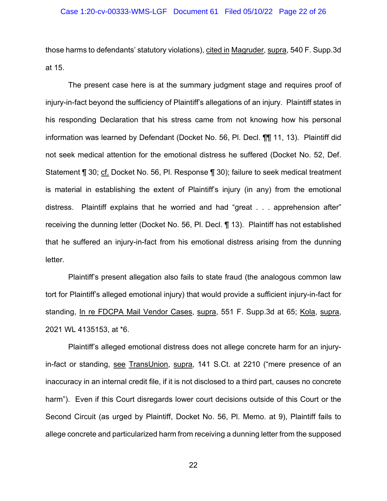those harms to defendants' statutory violations), cited in Magruder, supra, 540 F. Supp.3d at 15.

The present case here is at the summary judgment stage and requires proof of injury-in-fact beyond the sufficiency of Plaintiff's allegations of an injury. Plaintiff states in his responding Declaration that his stress came from not knowing how his personal information was learned by Defendant (Docket No. 56, Pl. Decl. ¶¶ 11, 13). Plaintiff did not seek medical attention for the emotional distress he suffered (Docket No. 52, Def. Statement ¶ 30; cf. Docket No. 56, Pl. Response ¶ 30); failure to seek medical treatment is material in establishing the extent of Plaintiff's injury (in any) from the emotional distress. Plaintiff explains that he worried and had "great . . . apprehension after" receiving the dunning letter (Docket No. 56, Pl. Decl. ¶ 13). Plaintiff has not established that he suffered an injury-in-fact from his emotional distress arising from the dunning letter.

Plaintiff's present allegation also fails to state fraud (the analogous common law tort for Plaintiff's alleged emotional injury) that would provide a sufficient injury-in-fact for standing, In re FDCPA Mail Vendor Cases, supra, 551 F. Supp.3d at 65; Kola, supra, 2021 WL 4135153, at \*6.

Plaintiff's alleged emotional distress does not allege concrete harm for an injuryin-fact or standing, see TransUnion, supra, 141 S.Ct. at 2210 ("mere presence of an inaccuracy in an internal credit file, if it is not disclosed to a third part, causes no concrete harm"). Even if this Court disregards lower court decisions outside of this Court or the Second Circuit (as urged by Plaintiff, Docket No. 56, Pl. Memo. at 9), Plaintiff fails to allege concrete and particularized harm from receiving a dunning letter from the supposed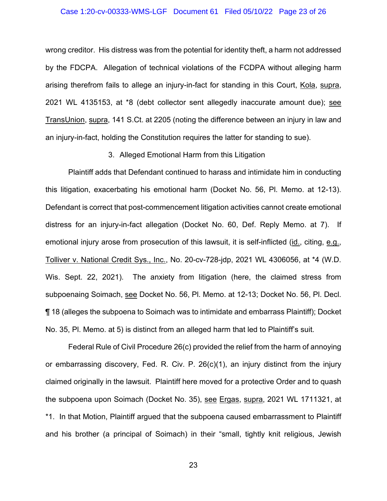#### Case 1:20-cv-00333-WMS-LGF Document 61 Filed 05/10/22 Page 23 of 26

wrong creditor. His distress was from the potential for identity theft, a harm not addressed by the FDCPA. Allegation of technical violations of the FCDPA without alleging harm arising therefrom fails to allege an injury-in-fact for standing in this Court, Kola, supra, 2021 WL 4135153, at \*8 (debt collector sent allegedly inaccurate amount due); see TransUnion, supra, 141 S.Ct. at 2205 (noting the difference between an injury in law and an injury-in-fact, holding the Constitution requires the latter for standing to sue).

3. Alleged Emotional Harm from this Litigation

Plaintiff adds that Defendant continued to harass and intimidate him in conducting this litigation, exacerbating his emotional harm (Docket No. 56, Pl. Memo. at 12-13). Defendant is correct that post-commencement litigation activities cannot create emotional distress for an injury-in-fact allegation (Docket No. 60, Def. Reply Memo. at 7). If emotional injury arose from prosecution of this lawsuit, it is self-inflicted (id., citing, e.g., Tolliver v. National Credit Sys., Inc., No. 20-cv-728-jdp, 2021 WL 4306056, at \*4 (W.D. Wis. Sept. 22, 2021). The anxiety from litigation (here, the claimed stress from subpoenaing Soimach, see Docket No. 56, Pl. Memo. at 12-13; Docket No. 56, Pl. Decl. ¶ 18 (alleges the subpoena to Soimach was to intimidate and embarrass Plaintiff); Docket No. 35, Pl. Memo. at 5) is distinct from an alleged harm that led to Plaintiff's suit.

Federal Rule of Civil Procedure 26(c) provided the relief from the harm of annoying or embarrassing discovery, Fed. R. Civ. P. 26(c)(1), an injury distinct from the injury claimed originally in the lawsuit. Plaintiff here moved for a protective Order and to quash the subpoena upon Soimach (Docket No. 35), see Ergas, supra, 2021 WL 1711321, at \*1. In that Motion, Plaintiff argued that the subpoena caused embarrassment to Plaintiff and his brother (a principal of Soimach) in their "small, tightly knit religious, Jewish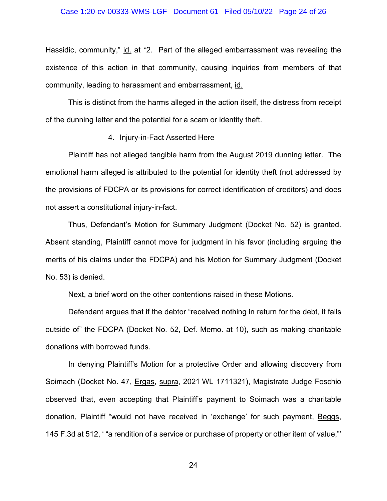Hassidic, community," id. at \*2. Part of the alleged embarrassment was revealing the existence of this action in that community, causing inquiries from members of that community, leading to harassment and embarrassment, id.

This is distinct from the harms alleged in the action itself, the distress from receipt of the dunning letter and the potential for a scam or identity theft.

# 4. Injury-in-Fact Asserted Here

Plaintiff has not alleged tangible harm from the August 2019 dunning letter. The emotional harm alleged is attributed to the potential for identity theft (not addressed by the provisions of FDCPA or its provisions for correct identification of creditors) and does not assert a constitutional injury-in-fact.

Thus, Defendant's Motion for Summary Judgment (Docket No. 52) is granted. Absent standing, Plaintiff cannot move for judgment in his favor (including arguing the merits of his claims under the FDCPA) and his Motion for Summary Judgment (Docket No. 53) is denied.

Next, a brief word on the other contentions raised in these Motions.

Defendant argues that if the debtor "received nothing in return for the debt, it falls outside of" the FDCPA (Docket No. 52, Def. Memo. at 10), such as making charitable donations with borrowed funds.

In denying Plaintiff's Motion for a protective Order and allowing discovery from Soimach (Docket No. 47, Ergas, supra, 2021 WL 1711321), Magistrate Judge Foschio observed that, even accepting that Plaintiff's payment to Soimach was a charitable donation, Plaintiff "would not have received in 'exchange' for such payment, Beggs, 145 F.3d at 512, ' "a rendition of a service or purchase of property or other item of value,"'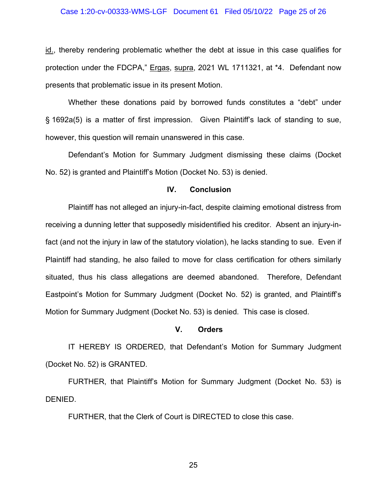id., thereby rendering problematic whether the debt at issue in this case qualifies for protection under the FDCPA," Ergas, supra, 2021 WL 1711321, at \*4. Defendant now presents that problematic issue in its present Motion.

Whether these donations paid by borrowed funds constitutes a "debt" under § 1692a(5) is a matter of first impression. Given Plaintiff's lack of standing to sue, however, this question will remain unanswered in this case.

Defendant's Motion for Summary Judgment dismissing these claims (Docket No. 52) is granted and Plaintiff's Motion (Docket No. 53) is denied.

# **IV. Conclusion**

Plaintiff has not alleged an injury-in-fact, despite claiming emotional distress from receiving a dunning letter that supposedly misidentified his creditor. Absent an injury-infact (and not the injury in law of the statutory violation), he lacks standing to sue. Even if Plaintiff had standing, he also failed to move for class certification for others similarly situated, thus his class allegations are deemed abandoned. Therefore, Defendant Eastpoint's Motion for Summary Judgment (Docket No. 52) is granted, and Plaintiff's Motion for Summary Judgment (Docket No. 53) is denied. This case is closed.

#### **V. Orders**

IT HEREBY IS ORDERED, that Defendant's Motion for Summary Judgment (Docket No. 52) is GRANTED.

FURTHER, that Plaintiff's Motion for Summary Judgment (Docket No. 53) is DENIED.

FURTHER, that the Clerk of Court is DIRECTED to close this case.